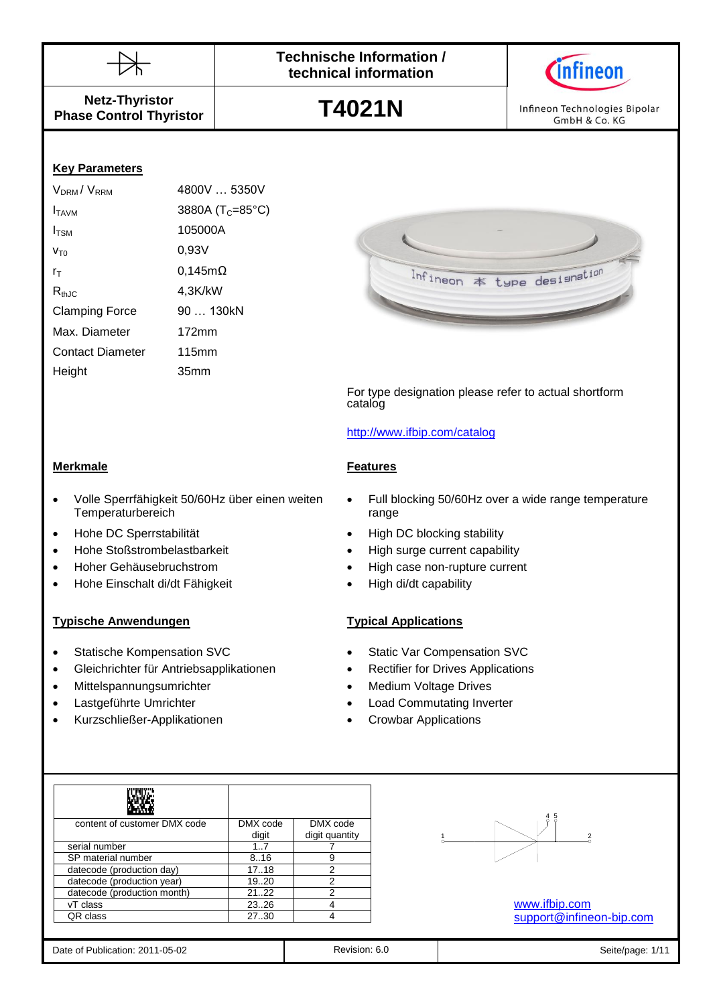



**Netz-Thyristor Phase Control Thyristor**

**T4021N**

Infineon Technologies Bipolar GmbH & Co. KG

## **Key Parameters**

| V <sub>DRM</sub> /V <sub>RRM</sub> | 4800V  5350V                 |
|------------------------------------|------------------------------|
| I <sub>TAVM</sub>                  | 3880A (T <sub>C</sub> =85°C) |
| $I_{TSM}$                          | 105000A                      |
| $V_{T0}$                           | 0,93V                        |
| $r_{\scriptscriptstyle\rm T}$      | $0,145m\Omega$               |
| $R_{thJC}$                         | 4,3K/kW                      |
| <b>Clamping Force</b>              | 90  130kN                    |
| Max. Diameter                      | $172$ mm                     |
| <b>Contact Diameter</b>            | 115mm                        |
| Height                             | 35mm                         |
|                                    |                              |



For type designation please refer to actual shortform catalog

## <http://www.ifbip.com/catalog>

## **Merkmale Features**

- Volle Sperrfähigkeit 50/60Hz über einen weiten **Temperaturbereich**
- 
- Hohe Stoßstrombelastbarkeit High surge current capability
- 
- Hohe Einschalt di/dt Fähigkeit High di/dt capability

## **Typische Anwendungen Typical Applications**

- 
- Gleichrichter für Antriebsapplikationen Rectifier for Drives Applications
- Mittelspannungsumrichter **Mittelspannungsumrichter Medium Voltage Drives**
- 
- Kurzschließer-Applikationen Crowbar Applications
- Full blocking 50/60Hz over a wide range temperature range
- Hohe DC Sperrstabilität **and Containers** High DC blocking stability
	-
- Hoher Gehäusebruchstrom High case non-rupture current
	-

- Statische Kompensation SVC Static Var Compensation SVC
	-
	-
- Lastgeführte Umrichter **aber als einer Schwarze von Ebene** Load Commutating Inverter
	-

| content of customer DMX code | DMX code | DMX code       |
|------------------------------|----------|----------------|
|                              | digit    | digit quantity |
| serial number                | 1.7      |                |
| SP material number           | 8.16     | 9              |
| datecode (production day)    | 17.18    | 2              |
| datecode (production year)   | 19.20    | 2              |
| datecode (production month)  | 2122     | 2              |
| vT class                     | 23.26    |                |
| QR class                     | 27.30    |                |



[www.ifbip.com](http://www.ifbip.com/) [support@infineon-bip.com](mailto:support@infineon-bip.com)

| Date of Publication: 2011-05-02 |  |  |
|---------------------------------|--|--|
|                                 |  |  |

Revision: 6.0 **Date of Publication: 2012** Seite/page: 1/11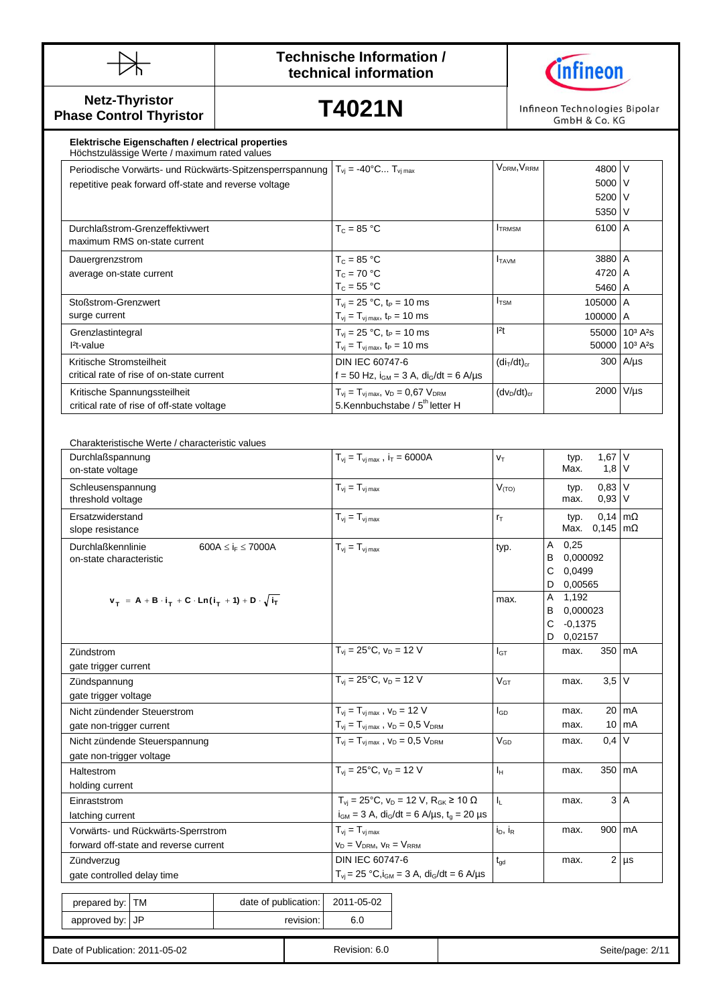



**Netz-Thyristor Phase Control Thyristor**

**T4021N**

Infineon Technologies Bipolar<br>GmbH & Co. KG

## **Elektrische Eigenschaften / electrical properties**

| Höchstzulässige Werte / maximum rated values             |                                                  |                                     |          |                                          |
|----------------------------------------------------------|--------------------------------------------------|-------------------------------------|----------|------------------------------------------|
| Periodische Vorwärts- und Rückwärts-Spitzensperrspannung | $T_{vi} = -40^{\circ}$ C $T_{vi}$ <sub>max</sub> | V <sub>DRM</sub> , V <sub>RRM</sub> | 4800     |                                          |
| repetitive peak forward off-state and reverse voltage    |                                                  |                                     | 5000 V   |                                          |
|                                                          |                                                  |                                     | 5200 V   |                                          |
|                                                          |                                                  |                                     | 5350 V   |                                          |
| Durchlaßstrom-Grenzeffektivwert                          | $T_c = 85 °C$                                    | <b>ITRMSM</b>                       | 6100 A   |                                          |
| maximum RMS on-state current                             |                                                  |                                     |          |                                          |
| Dauergrenzstrom                                          | $T_c = 85 °C$                                    | <b>ITAVM</b>                        | 3880 A   |                                          |
| average on-state current                                 | $T_c = 70 °C$                                    |                                     | 4720 A   |                                          |
|                                                          | $T_c = 55 °C$                                    |                                     | 5460 A   |                                          |
| Stoßstrom-Grenzwert                                      | $T_{vi} = 25 °C$ , t <sub>P</sub> = 10 ms        | I <sub>TSM</sub>                    | 105000 A |                                          |
| surge current                                            | $T_{vj} = T_{vj \, max}$ , $t_P = 10 \, ms$      |                                     | 100000 A |                                          |
| Grenzlastintegral                                        | $T_{vi} = 25 °C$ , $t_P = 10$ ms                 | 2t                                  |          | 55000   10 <sup>3</sup> A <sup>2</sup> s |
| $Pt$ -value                                              | $T_{vj} = T_{vj \, max}$ , $t_P = 10 \, ms$      |                                     |          | 50000 10 <sup>3</sup> A <sup>2</sup> s   |
| Kritische Stromsteilheit                                 | DIN IEC 60747-6                                  | $(diT/dt)_{cr}$                     |          | $300$ A/ $\mu$ s                         |
| critical rate of rise of on-state current                | f = 50 Hz, $i_{GM}$ = 3 A, $di_G/dt$ = 6 A/µs    |                                     |          |                                          |
| Kritische Spannungssteilheit                             | $T_{vi} = T_{vi \, max}$ , $V_D = 0.67 V_{DRM}$  | $(dv_D/dt)_{cr}$                    | 2000     | $V/\mu s$                                |
| critical rate of rise of off-state voltage               | 5. Kennbuchstabe / 5 <sup>th</sup> letter H      |                                     |          |                                          |

| Durchlaßspannung<br>on-state voltage                                                           |                                   | $T_{vi} = T_{vi \, max}$ , $i_T = 6000A$                                                                           | VT                      |                                       | typ.<br>Max.                              | $1,67$ V<br>$1,8$ V                                   |                  |
|------------------------------------------------------------------------------------------------|-----------------------------------|--------------------------------------------------------------------------------------------------------------------|-------------------------|---------------------------------------|-------------------------------------------|-------------------------------------------------------|------------------|
| Schleusenspannung<br>threshold voltage                                                         |                                   | $T_{vi} = T_{vi \, max}$                                                                                           | $V_{(TO)}$              |                                       | typ.<br>max.                              | $0,83$ V<br>$0,93$ V                                  |                  |
| Ersatzwiderstand<br>slope resistance                                                           |                                   | $T_{vj} = T_{vj \, max}$                                                                                           | $r_T$                   |                                       | typ.<br>Max.                              | $0,14 \, \text{m}\Omega$<br>$0,145 \, \text{m}\Omega$ |                  |
| <b>Durchlaßkennlinie</b><br>600A $\leq$ i <sub>F</sub> $\leq$ 7000A<br>on-state characteristic | $T_{vi} = T_{vi \, max}$          | typ.                                                                                                               | Α<br>В<br>C<br>D        | 0,25<br>0.000092<br>0,0499<br>0,00565 |                                           |                                                       |                  |
| $v_T = A + B \cdot i_T + C \cdot Ln(i_T + 1) + D \cdot \sqrt{i_T}$                             |                                   |                                                                                                                    | max.                    | Α<br>В<br>C<br>D                      | 1,192<br>0,000023<br>$-0,1375$<br>0,02157 |                                                       |                  |
| Zündstrom                                                                                      |                                   | $T_{vi} = 25^{\circ}C$ , $v_D = 12 V$                                                                              | $I_{GT}$                |                                       | max.                                      | 350 mA                                                |                  |
| gate trigger current                                                                           |                                   | $T_{vi} = 25^{\circ}C, v_D = 12 V$                                                                                 |                         |                                       |                                           |                                                       |                  |
| Zündspannung                                                                                   |                                   |                                                                                                                    | V <sub>GT</sub>         |                                       | max.                                      | $3,5$ V                                               |                  |
| gate trigger voltage                                                                           |                                   |                                                                                                                    |                         |                                       |                                           |                                                       |                  |
| Nicht zündender Steuerstrom                                                                    |                                   | $T_{vi} = T_{vi \, max}$ , $V_D = 12$ V                                                                            | $I_{GD}$                |                                       | max.                                      |                                                       | 20 mA            |
| gate non-trigger current                                                                       |                                   | $T_{vi} = T_{vi \, max}$ , $V_D = 0.5 V_{DRM}$                                                                     |                         |                                       | max.                                      | 10                                                    | mA               |
| Nicht zündende Steuerspannung                                                                  |                                   | $T_{vi} = T_{vj \, max}$ , $V_D = 0.5 V_{DRM}$                                                                     | $V_{GD}$                |                                       | max.                                      | 0,4                                                   | V                |
| gate non-trigger voltage                                                                       |                                   |                                                                                                                    |                         |                                       |                                           |                                                       |                  |
| Haltestrom                                                                                     |                                   | $T_{vi} = 25^{\circ}C$ , $v_D = 12 V$                                                                              | $I_H$                   |                                       | max.                                      | 350 mA                                                |                  |
| holding current                                                                                |                                   |                                                                                                                    |                         |                                       |                                           |                                                       |                  |
| Einraststrom                                                                                   |                                   | $T_{\rm{vj}} = 25^{\circ} \text{C}$ , $v_{\rm{D}} = 12 \text{ V}$ , $R_{\rm{GK}} \ge 10 \Omega$                    | $\mathsf{I}_\mathsf{L}$ |                                       | max.                                      |                                                       | 3A               |
| latching current                                                                               |                                   | $i_{GM} = 3$ A, di <sub>G</sub> /dt = 6 A/µs, t <sub>g</sub> = 20 µs                                               |                         |                                       |                                           |                                                       |                  |
| Vorwärts- und Rückwärts-Sperrstrom                                                             |                                   | $T_{vi} = T_{vi \, max}$                                                                                           | $i_D$ , $i_R$           |                                       | max.                                      | 900 mA                                                |                  |
| forward off-state and reverse current                                                          | $V_D = V_{DRM}$ , $V_R = V_{RRM}$ |                                                                                                                    |                         |                                       |                                           |                                                       |                  |
| Zündverzug                                                                                     | DIN IEC 60747-6                   | $t_{gd}$                                                                                                           |                         | max.                                  |                                           | $2 \mu s$                                             |                  |
| gate controlled delay time                                                                     |                                   | $T_{\rm{vj}} = 25 \text{ °C}, i_{\rm{GM}} = 3 \text{ A}, \text{ di}_{\rm{G}}/\text{dt} = 6 \text{ A/}\text{\mu s}$ |                         |                                       |                                           |                                                       |                  |
| prepared by: TM                                                                                | date of publication:              | 2011-05-02                                                                                                         |                         |                                       |                                           |                                                       |                  |
| approved by: JP                                                                                | revision:                         | 6.0                                                                                                                |                         |                                       |                                           |                                                       |                  |
| Date of Publication: 2011-05-02                                                                |                                   | Revision: 6.0                                                                                                      |                         |                                       |                                           |                                                       | Seite/page: 2/11 |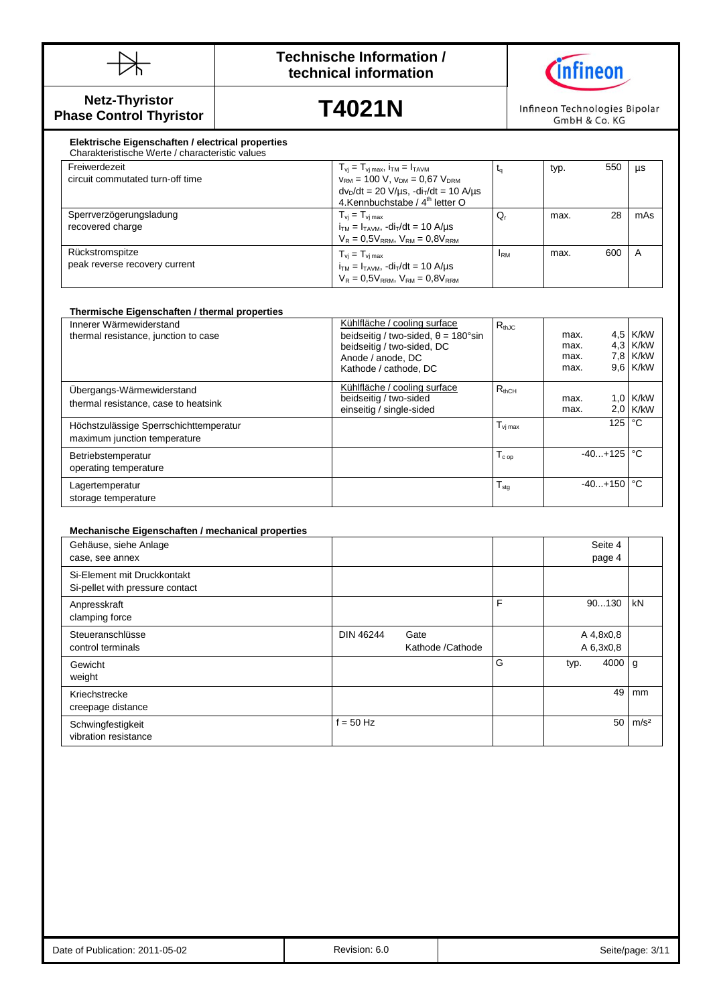



**Netz-Thyristor Phase Control Thyristor**

peak reverse recovery current

**T4021N**

Infineon Technologies Bipolar GmbH & Co. KG

### $T_{vj} = T_{vj \max}$ ,  $i_{TM} = 1_{TAVM}$ <br>  $V_{RM} = 100$  V,  $V_{DM} = 0.67$   $V_{DRM}$ Mechanische Eigenschaften<br>Sperrverzögerungsladung<br>T<sub>vi</sub> **Elektrische Eigenschaften / electrical properties** Charakteristische Werte / characteristic values Freiwerdezeit circuit commutated turn-off time  $v_{RM}$  = 100 V,  $v_{DM}$  = 0,67  $V_{DRM}$  $dv<sub>D</sub>/dt = 20 V/ \mu s$ ,  $-di<sub>T</sub>/dt = 10 A/ \mu s$ 4.Kennbuchstabe / 4<sup>th</sup> letter O  $t_q$  typ. 550 µs recovered charge  $T_{vj} = T_{vj \, max}$  $i_{TM} = I_{TAVM}$ ,  $di_T/dt = 10$  A/ $\mu s$  $V_R = 0.5V_{RRM}$ ,  $V_{RM} = 0.8V_{RRM}$  $Q_r$  max. 28 mAs Rückstromspitze  $T_{vj} = T_{vj \, max}$  $I_{\text{RM}}$  max. 600 A

| Innerer Wärmewiderstand                | Kühlfläche / cooling surface                        | $R_{thJC}$          |              |                        |                      |
|----------------------------------------|-----------------------------------------------------|---------------------|--------------|------------------------|----------------------|
| thermal resistance, junction to case   | beidseitig / two-sided, $\theta = 180^{\circ} \sin$ |                     | max.<br>max. |                        | 4,5 K/kW<br>4,3 K/kW |
|                                        | beidseitig / two-sided, DC<br>Anode / anode, DC     |                     | max.         |                        | 7,8 K/kW             |
|                                        | Kathode / cathode, DC                               |                     | max.         |                        | 9.6 K/kW             |
| Ubergangs-Wärmewiderstand              | Kühlfläche / cooling surface                        | $R_{thCH}$          |              |                        |                      |
| thermal resistance, case to heatsink   | beidseitig / two-sided                              |                     | max.         |                        | $1.0$ K/kW           |
|                                        | einseitig / single-sided                            |                     | max.         |                        | $2.0$ K/kW           |
| Höchstzulässige Sperrschichttemperatur |                                                     | $T_{\text{vi max}}$ |              | $125$ °C               |                      |
| maximum junction temperature           |                                                     |                     |              |                        |                      |
| Betriebstemperatur                     |                                                     | $T_{c \text{ op}}$  |              | $-40+125$              | $^{\circ}$ C         |
| operating temperature                  |                                                     |                     |              |                        |                      |
| Lagertemperatur                        |                                                     | $T_{\text{stg}}$    |              | $-40+150$ $^{\circ}$ C |                      |
| storage temperature                    |                                                     |                     |              |                        |                      |

 $i_{TM} = I_{TAVM}$ ,  $-di_T/dt = 10$  A/ $\mu s$  $V_R = 0.5V_{RRM}$ ,  $V_{RM} = 0.8V_{RRM}$ 

## **Mechanische Eigenschaften / mechanical properties**

| Gehäuse, siehe Anlage<br>case, see annex                       |                                              |   | Seite 4<br>page 4      |                  |
|----------------------------------------------------------------|----------------------------------------------|---|------------------------|------------------|
| Si-Element mit Druckkontakt<br>Si-pellet with pressure contact |                                              |   |                        |                  |
| Anpresskraft<br>clamping force                                 |                                              | F | 90130                  | kN               |
| Steueranschlüsse<br>control terminals                          | <b>DIN 46244</b><br>Gate<br>Kathode /Cathode |   | A 4,8x0,8<br>A 6,3x0,8 |                  |
| Gewicht<br>weight                                              |                                              | G | 4000<br>typ.           | g                |
| Kriechstrecke<br>creepage distance                             |                                              |   | 49                     | mm               |
| Schwingfestigkeit<br>vibration resistance                      | $f = 50$ Hz                                  |   | 50                     | m/s <sup>2</sup> |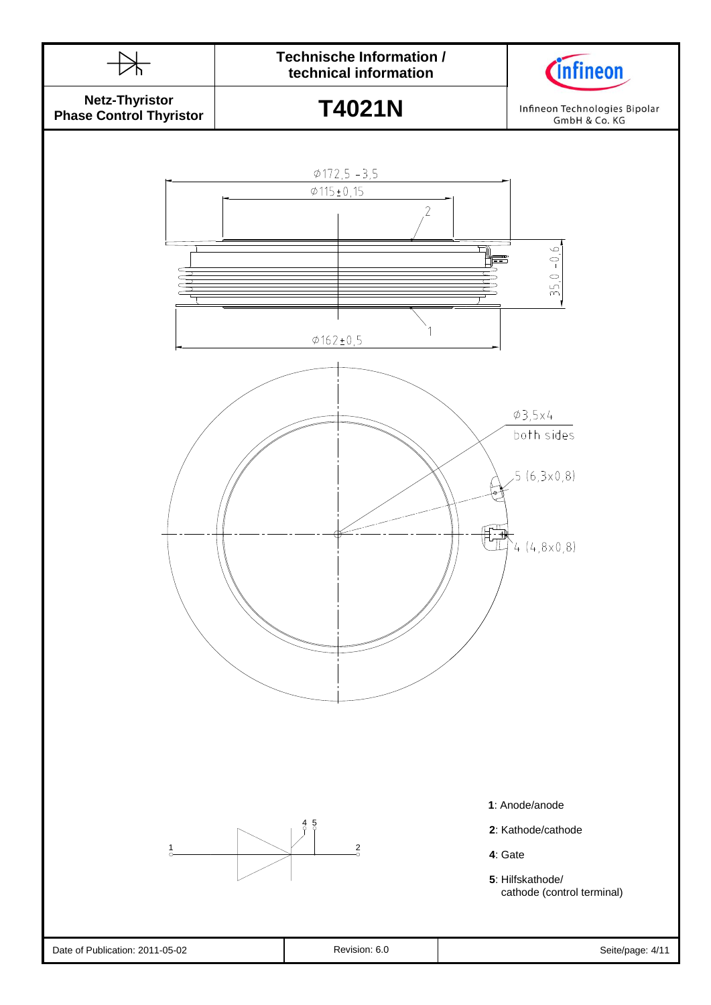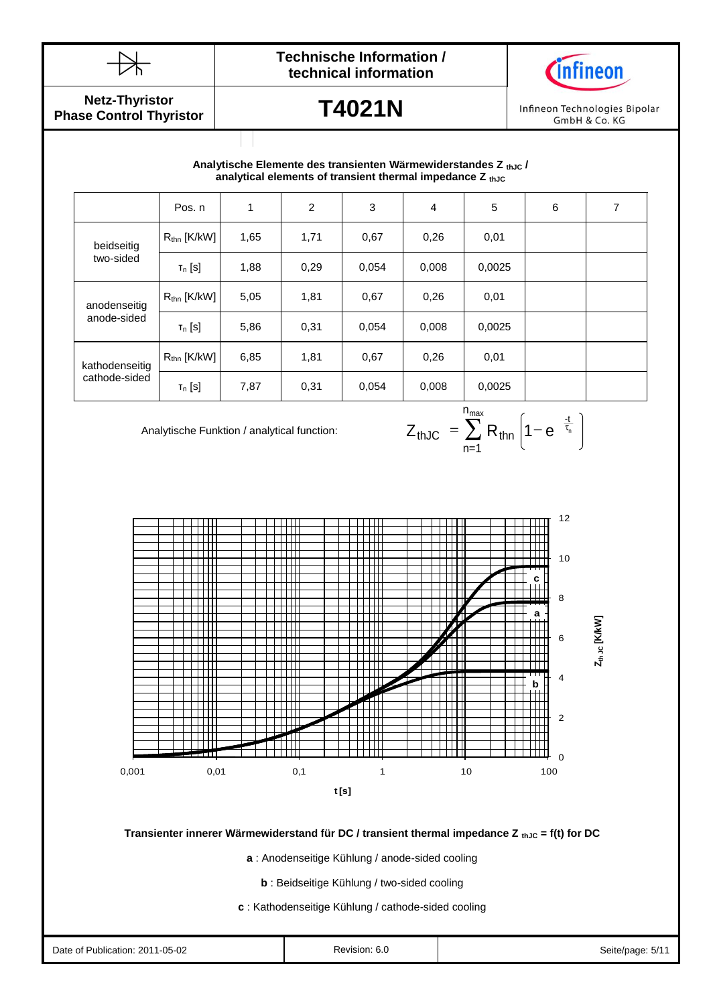



**Netz-Thyristor Phase Control Thyristor**

## **T4021N**

Infineon Technologies Bipolar GmbH & Co. KG

## Durchlasskennlinie **analytical elements of transient thermal impedance Z thJC Analytische Elemente des transienten Wärmewiderstandes Z thJC /**

|                                 | Pos. n                  | 1    | 2    | 3     | $\overline{4}$ | 5      | 6 | 7 |
|---------------------------------|-------------------------|------|------|-------|----------------|--------|---|---|
| beidseitig<br>two-sided         | $R_{\text{thn}}$ [K/kW] | 1,65 | 1,71 | 0.67  | 0,26           | 0,01   |   |   |
|                                 | $T_n$ [S]               | 1,88 | 0,29 | 0,054 | 0,008          | 0,0025 |   |   |
| anodenseitig                    | $R_{\text{thn}}$ [K/kW] | 5,05 | 1,81 | 0,67  | 0,26           | 0,01   |   |   |
| anode-sided                     | $T_n$ [S]               | 5,86 | 0,31 | 0,054 | 0,008          | 0,0025 |   |   |
| kathodenseitig<br>cathode-sided | $R_{\text{thn}}$ [K/kW] | 6,85 | 1,81 | 0.67  | 0,26           | 0,01   |   |   |
|                                 | $T_n$ [S]               | 7,87 | 0,31 | 0,054 | 0,008          | 0,0025 |   |   |

Analytische Funktion / analytical function:

$$
Z_{thJC} = \sum_{n=1}^{n_{max}} R_{thn} \left( 1 - e^{-\frac{t}{\tau_n}} \right)
$$



**Transienter innerer Wärmewiderstand für DC / transient thermal impedance Z thJC = f(t) for DC** 

**a** : Anodenseitige Kühlung / anode-sided cooling

**b** : Beidseitige Kühlung / two-sided cooling

**c** : Kathodenseitige Kühlung / cathode-sided cooling

| $1 - 05 - 02$<br>Date of<br>ublication: 2011- | . | Seite/nage: 5/1 |
|-----------------------------------------------|---|-----------------|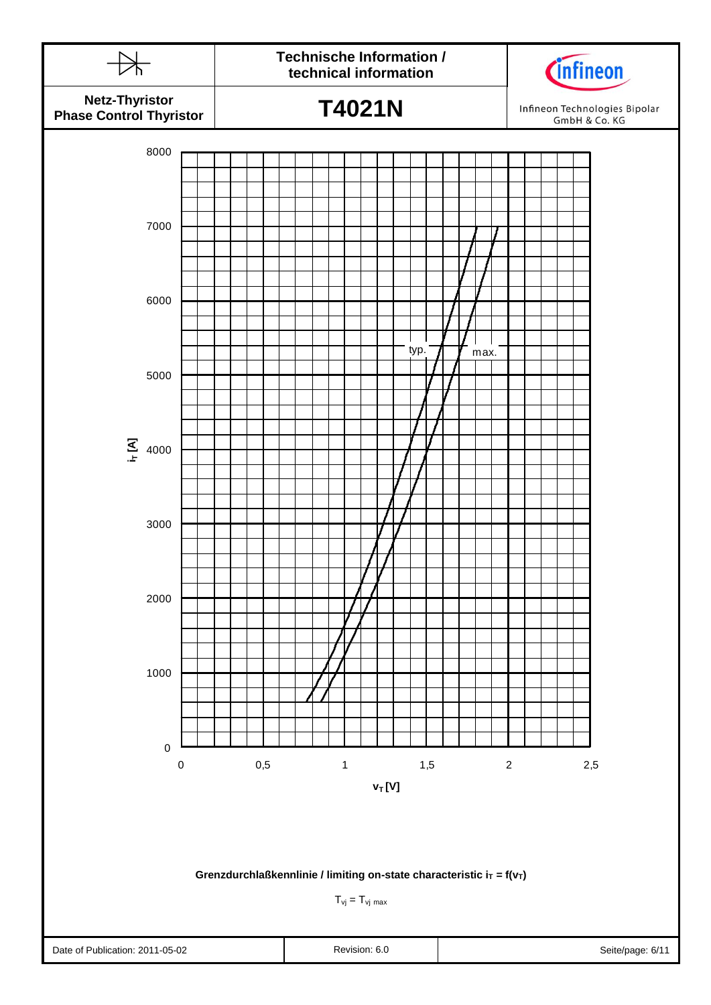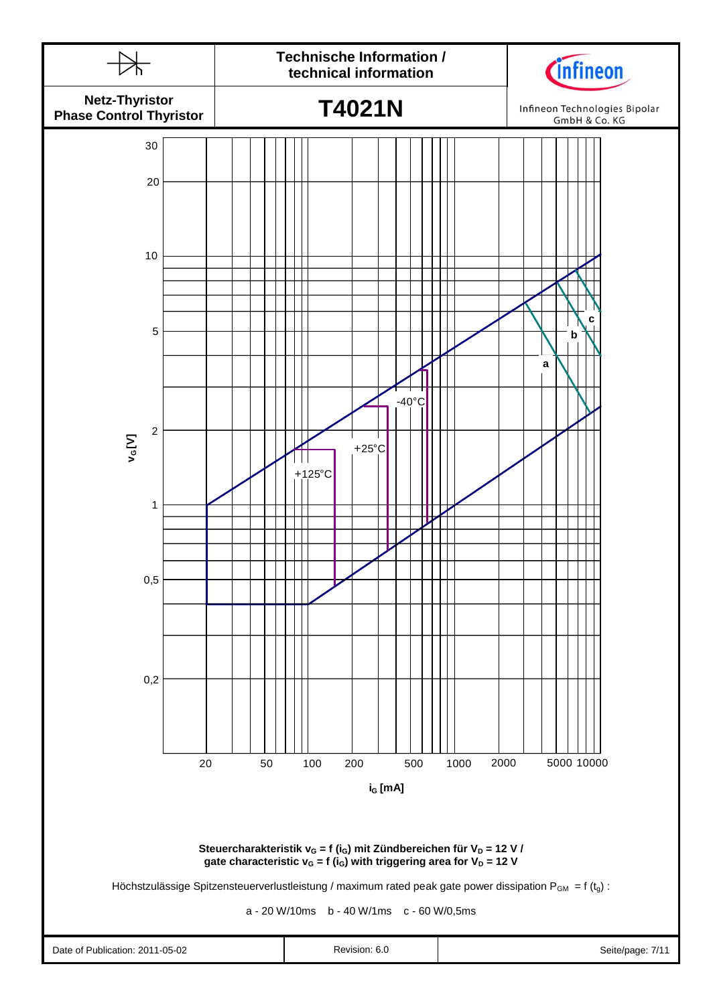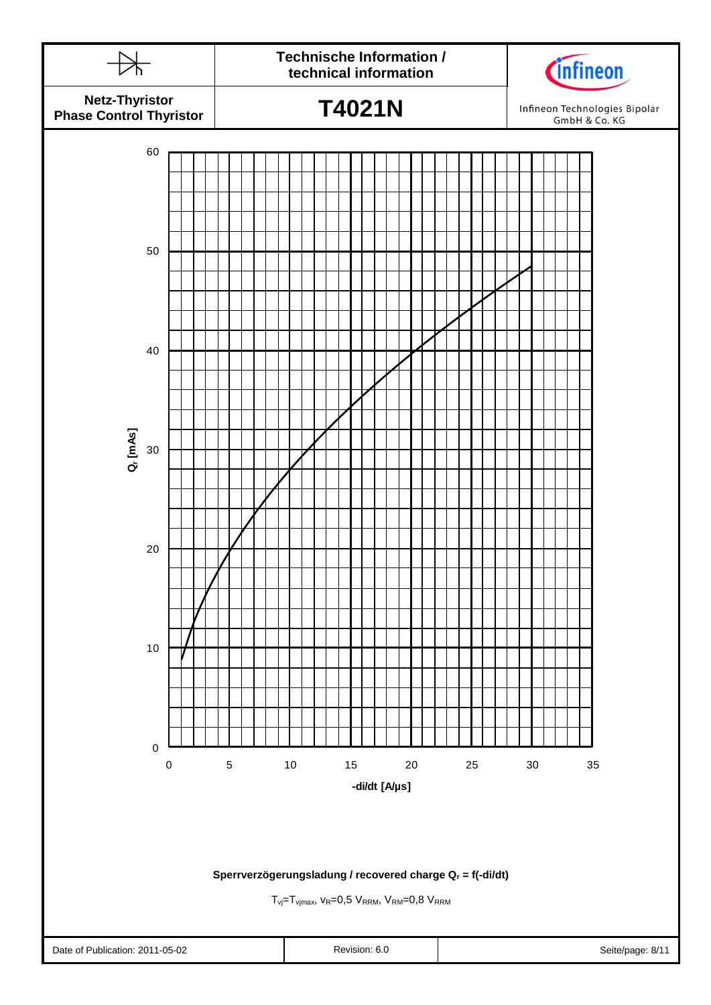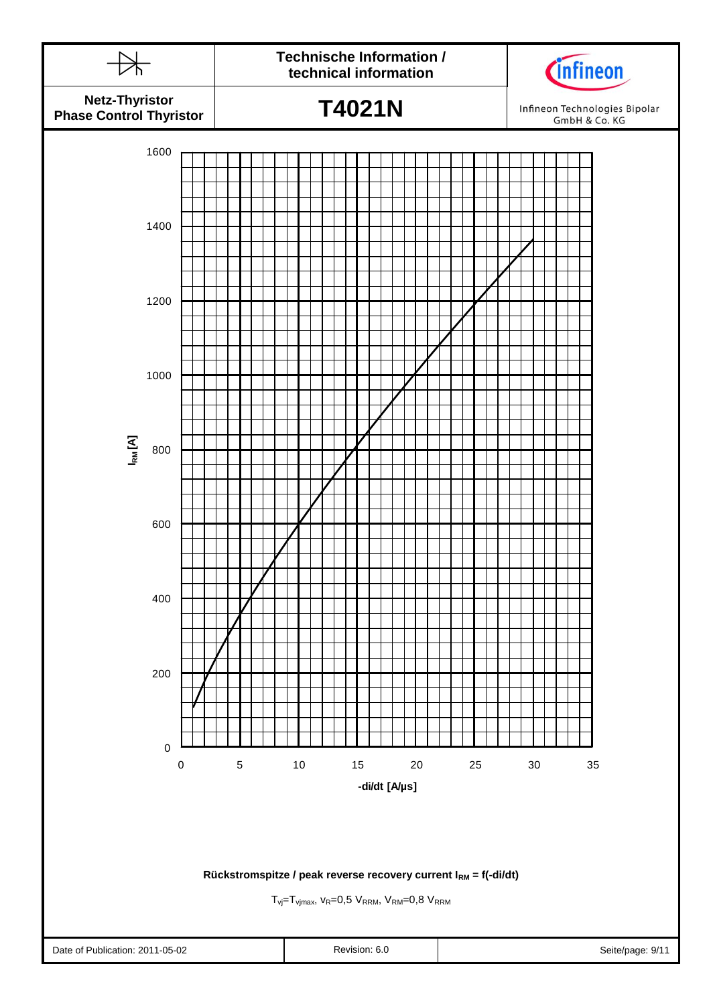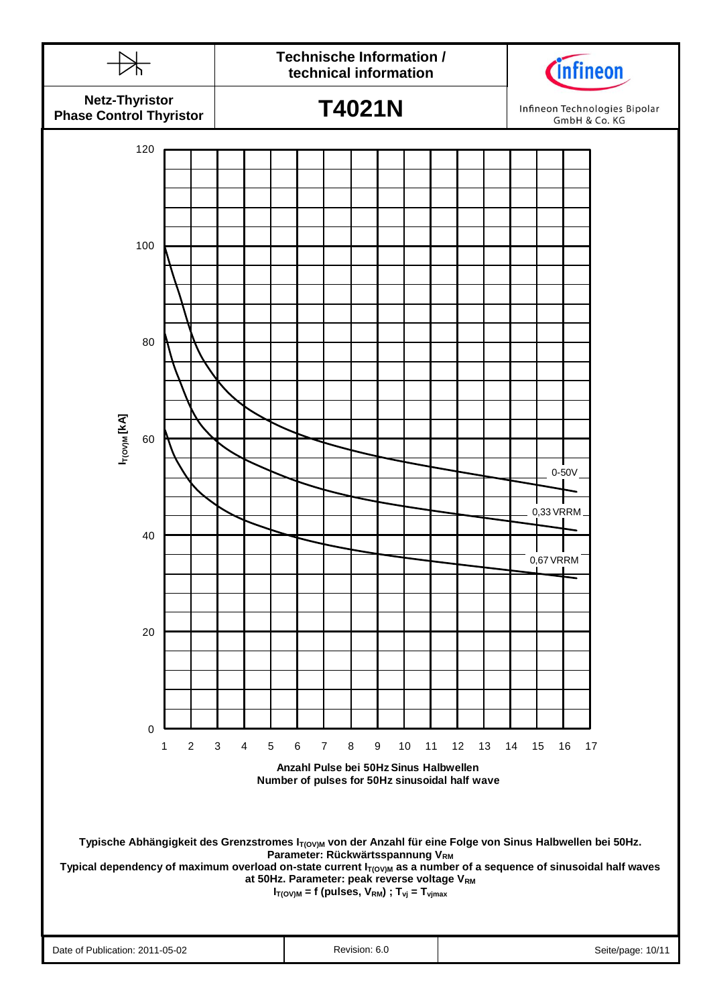